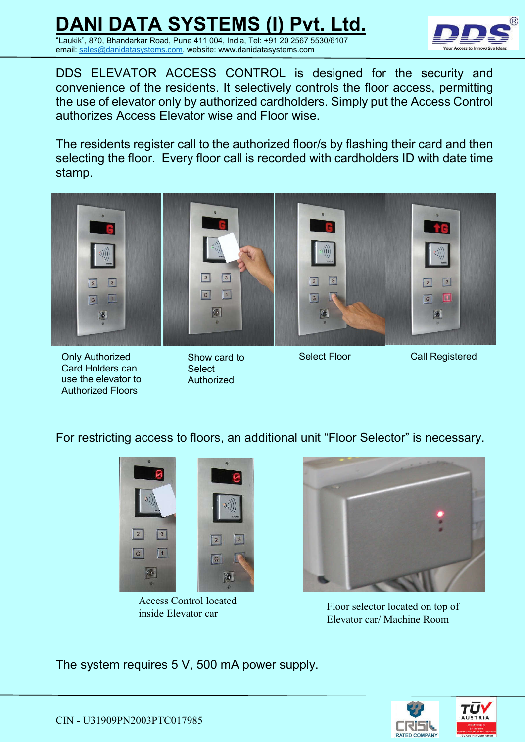

DDS ELEVATOR ACCESS CONTROL is designed for the security and convenience of the residents. It selectively controls the floor access, permitting the use of elevator only by authorized cardholders. Simply put the Access Control authorizes Access Elevator wise and Floor wise.

The residents register call to the authorized floor/s by flashing their card and then selecting the floor. Every floor call is recorded with cardholders ID with date time stamp.



Only Authorized Card Holders can use the elevator to Authorized Floors

Show card to **Select** Authorized

Select Floor Call Registered

For restricting access to floors, an additional unit "Floor Selector" is necessary.



Access Control located inside Elevator car



Floor selector located on top of Elevator car/ Machine Room

The system requires 5 V, 500 mA power supply.